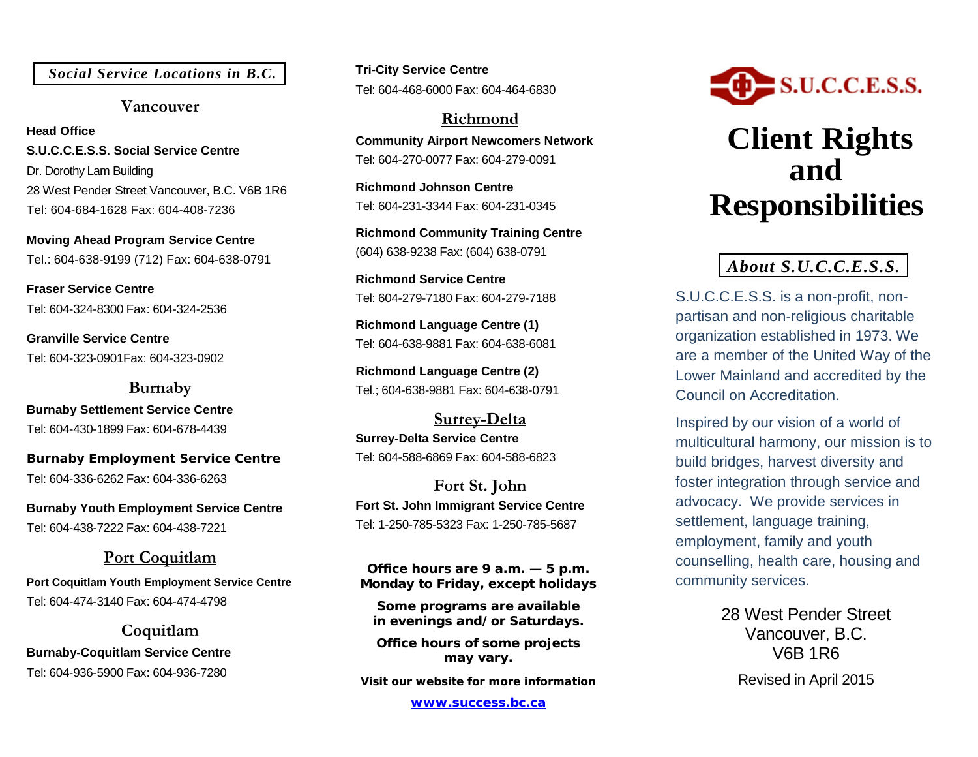*Social Service Locations in B.C.*

#### **Vancouver**

**Head Office S.U.C.C.E.S.S. Social Service Centre** Dr. Dorothy Lam Building 28 West Pender Street Vancouver, B.C. V6B 1R6 Tel: 604-684-1628 Fax: 604-408-7236

**Moving Ahead Program Service Centre** Tel.: 604-638-9199 (712) Fax: 604-638-0791

**Fraser Service Centre** Tel: 604-324-8300 Fax: 604-324-2536

**Granville Service Centre** Tel: 604-323-0901Fax: 604-323-0902

#### **Burnaby Burnaby Settlement Service Centre** Tel: 604-430-1899 Fax: 604-678-4439

**Burnaby Employment Service Centre** Tel: 604-336-6262 Fax: 604-336-6263

**Burnaby Youth Employment Service Centre** Tel: 604-438-7222 Fax: 604-438-7221

#### **Port Coquitlam**

**Port Coquitlam Youth Employment Service Centre** Tel: 604-474-3140 Fax: 604-474-4798

**Coquitlam Burnaby-Coquitlam Service Centre**  Tel: 604-936-5900 Fax: 604-936-7280

**Tri-City Service Centre** Tel: 604-468-6000 Fax: 604-464-6830

**Richmond Community Airport Newcomers Network** Tel: 604-270-0077 Fax: 604-279-0091

**Richmond Johnson Centre** Tel: 604-231-3344 Fax: 604-231-0345

**Richmond Community Training Centre** (604) 638-9238 Fax: (604) 638-0791

**Richmond Service Centre** Tel: 604-279-7180 Fax: 604-279-7188

**Richmond Language Centre (1)** Tel: 604-638-9881 Fax: 604-638-6081

**Richmond Language Centre (2)** Tel.; 604-638-9881 Fax: 604-638-0791

**Surrey-Delta Surrey-Delta Service Centre** Tel: 604-588-6869 Fax: 604-588-6823

**Fort St. John Fort St. John Immigrant Service Centre** Tel: 1-250-785-5323 Fax: 1-250-785-5687

**Office hours are 9 a.m. — 5 p.m. Monday to Friday, except holidays**

**Some programs are available in evenings and/or Saturdays.**

**Office hours of some projects may vary.**

**Visit our website for more information**

**[www.success.bc.ca](http://www.success.bc.ca/)**



# **Client Rights and Responsibilities**

### *About S.U.C.C.E.S.S.*

S.U.C.C.E.S.S. is a non-profit, nonpartisan and non-religious charitable organization established in 1973. We are a member of the United Way of the Lower Mainland and accredited by the Council on Accreditation.

Inspired by our vision of a world of multicultural harmony, our mission is to build bridges, harvest diversity and foster integration through service and advocacy. We provide services in settlement, language training, employment, family and youth counselling, health care, housing and community services.

> 28 West Pender Street Vancouver, B.C. V6B 1R6

Revised in April 2015